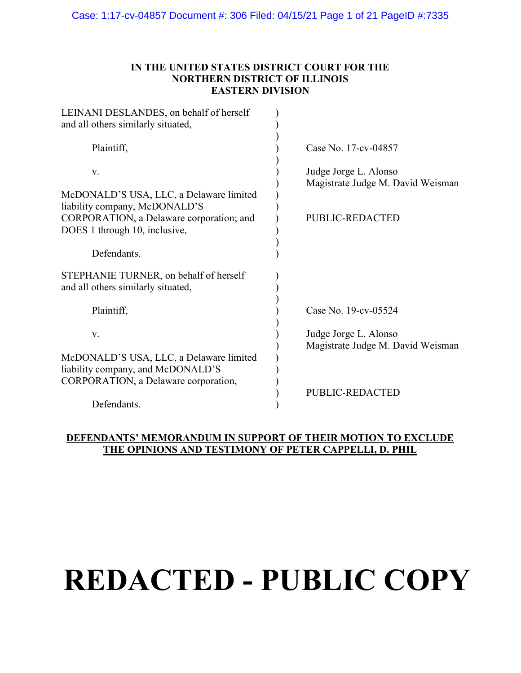## IN THE UNITED STATES DISTRICT COURT FOR THE NORTHERN DISTRICT OF ILLINOIS EASTERN DIVISION

| LEINANI DESLANDES, on behalf of herself<br>and all others similarly situated,                                        |                                                            |
|----------------------------------------------------------------------------------------------------------------------|------------------------------------------------------------|
| Plaintiff,                                                                                                           | Case No. 17-cv-04857                                       |
| V.                                                                                                                   | Judge Jorge L. Alonso<br>Magistrate Judge M. David Weisman |
| McDONALD'S USA, LLC, a Delaware limited<br>liability company, McDONALD'S<br>CORPORATION, a Delaware corporation; and | PUBLIC-REDACTED                                            |
| DOES 1 through 10, inclusive,                                                                                        |                                                            |
| Defendants.                                                                                                          |                                                            |
| STEPHANIE TURNER, on behalf of herself<br>and all others similarly situated,                                         |                                                            |
| Plaintiff,                                                                                                           | Case No. 19-cv-05524                                       |
| V.                                                                                                                   | Judge Jorge L. Alonso<br>Magistrate Judge M. David Weisman |
| McDONALD'S USA, LLC, a Delaware limited<br>liability company, and McDONALD'S                                         |                                                            |
| CORPORATION, a Delaware corporation,                                                                                 | <b>PUBLIC-REDACTED</b>                                     |
| Defendants.                                                                                                          |                                                            |

## DEFENDANTS' MEMORANDUM IN SUPPORT OF THEIR MOTION TO EXCLUDE THE OPINIONS AND TESTIMONY OF PETER CAPPELLI, D. PHIL

# **REDACTED - PUBLIC COPY**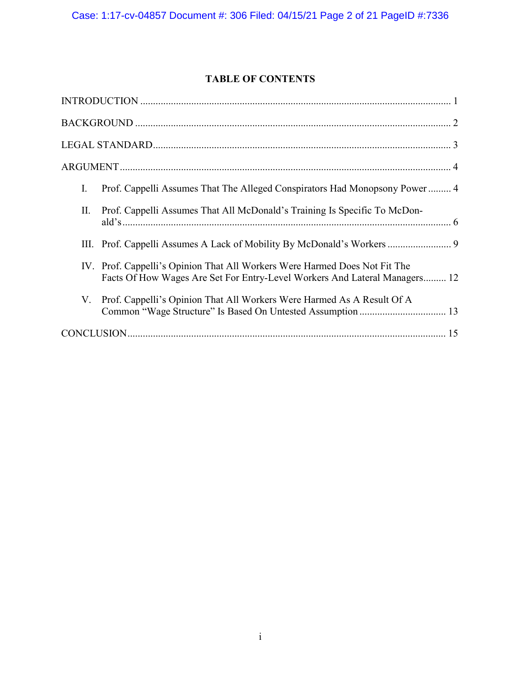# TABLE OF CONTENTS

| Prof. Cappelli Assumes That The Alleged Conspirators Had Monopsony Power 4<br>I.                                                                         |
|----------------------------------------------------------------------------------------------------------------------------------------------------------|
| Prof. Cappelli Assumes That All McDonald's Training Is Specific To McDon-<br>П.                                                                          |
| III. Prof. Cappelli Assumes A Lack of Mobility By McDonald's Workers  9                                                                                  |
| IV. Prof. Cappelli's Opinion That All Workers Were Harmed Does Not Fit The<br>Facts Of How Wages Are Set For Entry-Level Workers And Lateral Managers 12 |
| V. Prof. Cappelli's Opinion That All Workers Were Harmed As A Result Of A                                                                                |
|                                                                                                                                                          |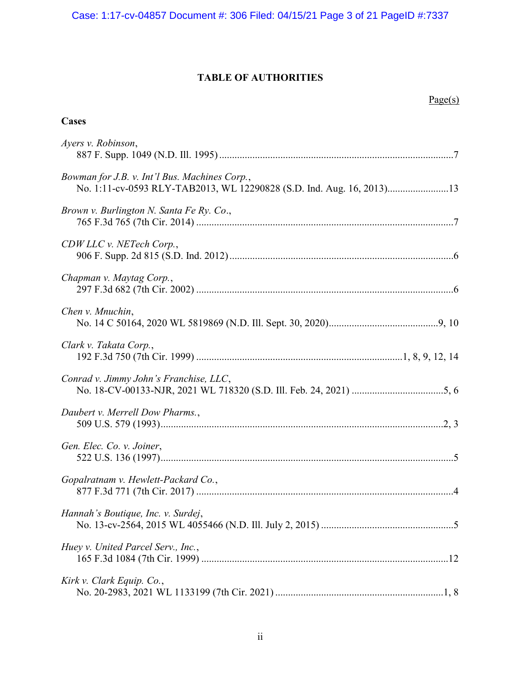# TABLE OF AUTHORITIES

| Cases                                                                                                                  |
|------------------------------------------------------------------------------------------------------------------------|
| Ayers v. Robinson,                                                                                                     |
| Bowman for J.B. v. Int'l Bus. Machines Corp.,<br>No. 1:11-cv-0593 RLY-TAB2013, WL 12290828 (S.D. Ind. Aug. 16, 2013)13 |
| Brown v. Burlington N. Santa Fe Ry. Co.,                                                                               |
| CDW LLC v. NETech Corp.,                                                                                               |
| Chapman v. Maytag Corp.,                                                                                               |
| Chen v. Mnuchin,                                                                                                       |
| Clark v. Takata Corp.,                                                                                                 |
| Conrad v. Jimmy John's Franchise, LLC,                                                                                 |
| Daubert v. Merrell Dow Pharms.,                                                                                        |
| Gen. Elec. Co. v. Joiner,                                                                                              |
| Gopalratnam v. Hewlett-Packard Co.,                                                                                    |
| Hannah's Boutique, Inc. v. Surdej,                                                                                     |
| Huey v. United Parcel Serv., Inc.,                                                                                     |
| Kirk v. Clark Equip. Co.,                                                                                              |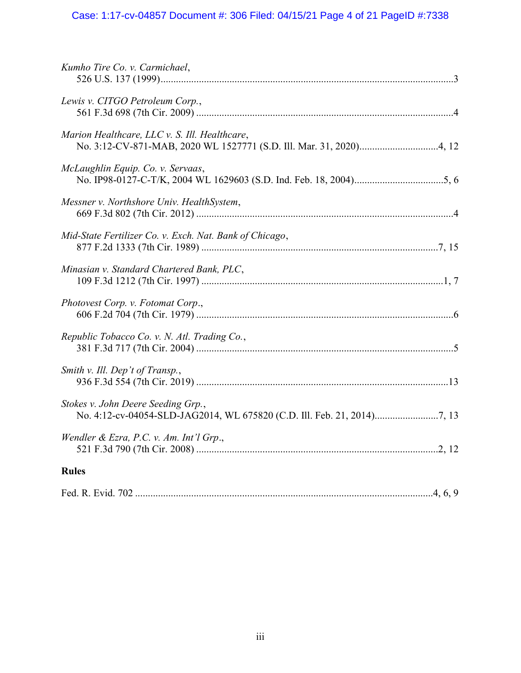# Case: 1:17-cv-04857 Document #: 306 Filed: 04/15/21 Page 4 of 21 PageID #:7338

| Kumho Tire Co. v. Carmichael,                           |
|---------------------------------------------------------|
| Lewis v. CITGO Petroleum Corp.,                         |
| Marion Healthcare, LLC v. S. Ill. Healthcare,           |
| McLaughlin Equip. Co. v. Servaas,                       |
| Messner v. Northshore Univ. HealthSystem,               |
| Mid-State Fertilizer Co. v. Exch. Nat. Bank of Chicago, |
| Minasian v. Standard Chartered Bank, PLC,               |
| Photovest Corp. v. Fotomat Corp.,                       |
| Republic Tobacco Co. v. N. Atl. Trading Co.,            |
| Smith v. Ill. Dep't of Transp.,                         |
| Stokes v. John Deere Seeding Grp.,                      |
| Wendler & Ezra, P.C. v. Am. Int'l Grp.,                 |
| <b>Rules</b>                                            |
|                                                         |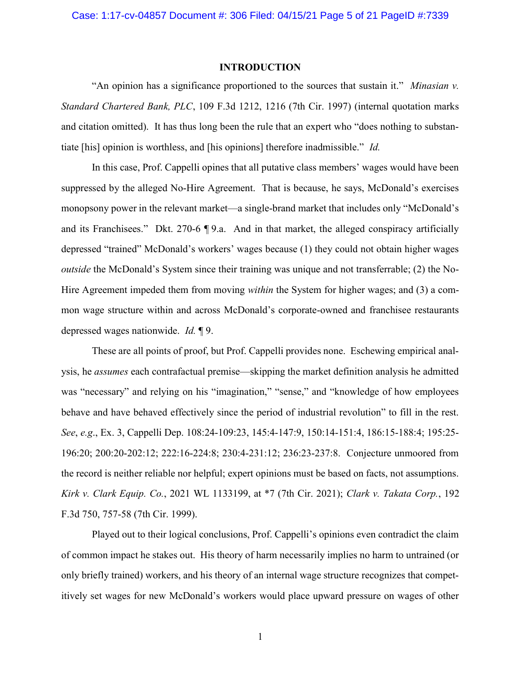#### INTRODUCTION

"An opinion has a significance proportioned to the sources that sustain it." Minasian v. Standard Chartered Bank, PLC, 109 F.3d 1212, 1216 (7th Cir. 1997) (internal quotation marks and citation omitted). It has thus long been the rule that an expert who "does nothing to substantiate [his] opinion is worthless, and [his opinions] therefore inadmissible." Id.

In this case, Prof. Cappelli opines that all putative class members' wages would have been suppressed by the alleged No-Hire Agreement. That is because, he says, McDonald's exercises monopsony power in the relevant market—a single-brand market that includes only "McDonald's and its Franchisees." Dkt. 270-6 ¶ 9.a. And in that market, the alleged conspiracy artificially depressed "trained" McDonald's workers' wages because (1) they could not obtain higher wages outside the McDonald's System since their training was unique and not transferrable; (2) the No-Hire Agreement impeded them from moving *within* the System for higher wages; and (3) a common wage structure within and across McDonald's corporate-owned and franchisee restaurants depressed wages nationwide. Id. ¶ 9.

These are all points of proof, but Prof. Cappelli provides none. Eschewing empirical analysis, he assumes each contrafactual premise—skipping the market definition analysis he admitted was "necessary" and relying on his "imagination," "sense," and "knowledge of how employees behave and have behaved effectively since the period of industrial revolution" to fill in the rest. See, e.g., Ex. 3, Cappelli Dep. 108:24-109:23, 145:4-147:9, 150:14-151:4, 186:15-188:4; 195:25- 196:20; 200:20-202:12; 222:16-224:8; 230:4-231:12; 236:23-237:8. Conjecture unmoored from the record is neither reliable nor helpful; expert opinions must be based on facts, not assumptions. Kirk v. Clark Equip. Co., 2021 WL 1133199, at \*7 (7th Cir. 2021); Clark v. Takata Corp., 192 F.3d 750, 757-58 (7th Cir. 1999).

Played out to their logical conclusions, Prof. Cappelli's opinions even contradict the claim of common impact he stakes out. His theory of harm necessarily implies no harm to untrained (or only briefly trained) workers, and his theory of an internal wage structure recognizes that competitively set wages for new McDonald's workers would place upward pressure on wages of other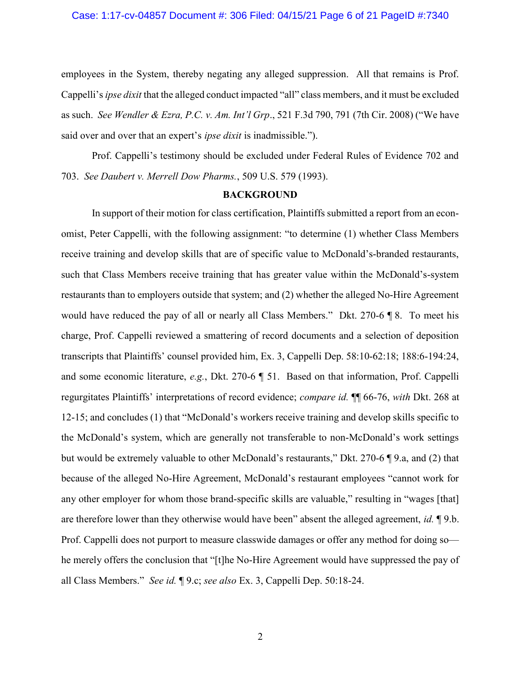## Case: 1:17-cv-04857 Document #: 306 Filed: 04/15/21 Page 6 of 21 PageID #:7340

employees in the System, thereby negating any alleged suppression. All that remains is Prof. Cappelli's *ipse dixit* that the alleged conduct impacted "all" class members, and it must be excluded as such. See Wendler & Ezra, P.C. v. Am. Int'l Grp., 521 F.3d 790, 791 (7th Cir. 2008) ("We have said over and over that an expert's *ipse dixit* is inadmissible.").

Prof. Cappelli's testimony should be excluded under Federal Rules of Evidence 702 and 703. See Daubert v. Merrell Dow Pharms., 509 U.S. 579 (1993).

#### BACKGROUND

In support of their motion for class certification, Plaintiffs submitted a report from an economist, Peter Cappelli, with the following assignment: "to determine (1) whether Class Members receive training and develop skills that are of specific value to McDonald's-branded restaurants, such that Class Members receive training that has greater value within the McDonald's-system restaurants than to employers outside that system; and (2) whether the alleged No-Hire Agreement would have reduced the pay of all or nearly all Class Members." Dkt. 270-6 ¶ 8. To meet his charge, Prof. Cappelli reviewed a smattering of record documents and a selection of deposition transcripts that Plaintiffs' counsel provided him, Ex. 3, Cappelli Dep. 58:10-62:18; 188:6-194:24, and some economic literature, e.g., Dkt. 270-6 ¶ 51. Based on that information, Prof. Cappelli regurgitates Plaintiffs' interpretations of record evidence; compare id. ¶¶ 66-76, with Dkt. 268 at 12-15; and concludes (1) that "McDonald's workers receive training and develop skills specific to the McDonald's system, which are generally not transferable to non-McDonald's work settings but would be extremely valuable to other McDonald's restaurants," Dkt. 270-6 ¶ 9.a, and (2) that because of the alleged No-Hire Agreement, McDonald's restaurant employees "cannot work for any other employer for whom those brand-specific skills are valuable," resulting in "wages [that] are therefore lower than they otherwise would have been" absent the alleged agreement, *id.*  $\Box$  9.b. Prof. Cappelli does not purport to measure classwide damages or offer any method for doing sohe merely offers the conclusion that "[t]he No-Hire Agreement would have suppressed the pay of all Class Members." See id. ¶ 9.c; see also Ex. 3, Cappelli Dep. 50:18-24.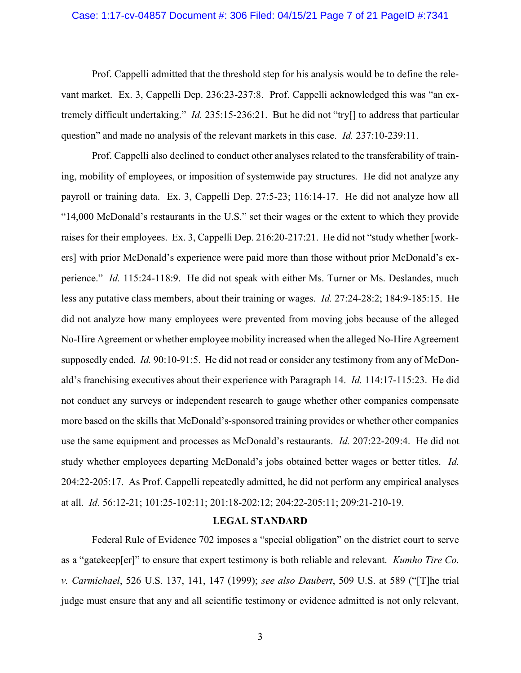## Case: 1:17-cv-04857 Document #: 306 Filed: 04/15/21 Page 7 of 21 PageID #:7341

Prof. Cappelli admitted that the threshold step for his analysis would be to define the relevant market. Ex. 3, Cappelli Dep. 236:23-237:8. Prof. Cappelli acknowledged this was "an extremely difficult undertaking." Id. 235:15-236:21. But he did not "try[] to address that particular question" and made no analysis of the relevant markets in this case. *Id.* 237:10-239:11.

Prof. Cappelli also declined to conduct other analyses related to the transferability of training, mobility of employees, or imposition of systemwide pay structures. He did not analyze any payroll or training data. Ex. 3, Cappelli Dep. 27:5-23; 116:14-17. He did not analyze how all "14,000 McDonald's restaurants in the U.S." set their wages or the extent to which they provide raises for their employees. Ex. 3, Cappelli Dep. 216:20-217:21. He did not "study whether [workers] with prior McDonald's experience were paid more than those without prior McDonald's experience." *Id.* 115:24-118:9. He did not speak with either Ms. Turner or Ms. Deslandes, much less any putative class members, about their training or wages. Id. 27:24-28:2; 184:9-185:15. He did not analyze how many employees were prevented from moving jobs because of the alleged No-Hire Agreement or whether employee mobility increased when the alleged No-Hire Agreement supposedly ended. Id. 90:10-91:5. He did not read or consider any testimony from any of McDonald's franchising executives about their experience with Paragraph 14. Id. 114:17-115:23. He did not conduct any surveys or independent research to gauge whether other companies compensate more based on the skills that McDonald's-sponsored training provides or whether other companies use the same equipment and processes as McDonald's restaurants. *Id.* 207:22-209:4. He did not study whether employees departing McDonald's jobs obtained better wages or better titles. *Id.* 204:22-205:17. As Prof. Cappelli repeatedly admitted, he did not perform any empirical analyses at all. Id. 56:12-21; 101:25-102:11; 201:18-202:12; 204:22-205:11; 209:21-210-19.

## LEGAL STANDARD

Federal Rule of Evidence 702 imposes a "special obligation" on the district court to serve as a "gatekeep[er]" to ensure that expert testimony is both reliable and relevant. Kumho Tire Co. v. Carmichael, 526 U.S. 137, 141, 147 (1999); see also Daubert, 509 U.S. at 589 ("[T]he trial judge must ensure that any and all scientific testimony or evidence admitted is not only relevant,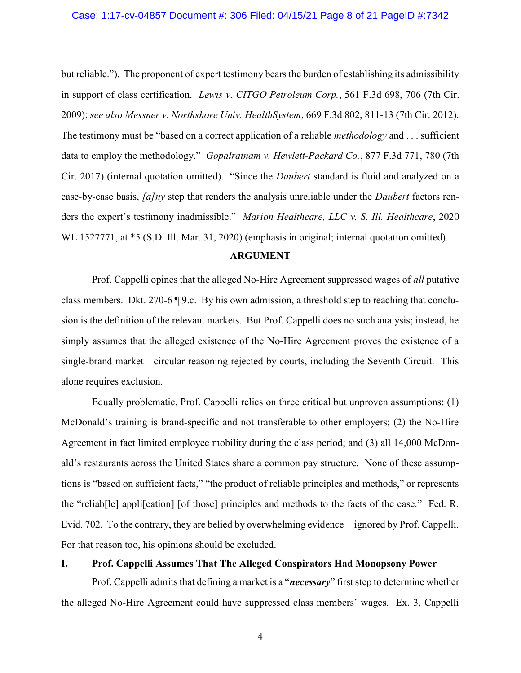#### Case: 1:17-cv-04857 Document #: 306 Filed: 04/15/21 Page 8 of 21 PageID #:7342

but reliable."). The proponent of expert testimony bears the burden of establishing its admissibility in support of class certification. Lewis v. CITGO Petroleum Corp., 561 F.3d 698, 706 (7th Cir. 2009); see also Messner v. Northshore Univ. HealthSystem, 669 F.3d 802, 811-13 (7th Cir. 2012). The testimony must be "based on a correct application of a reliable *methodology* and . . . sufficient data to employ the methodology." Gopalratnam v. Hewlett-Packard Co., 877 F.3d 771, 780 (7th Cir. 2017) (internal quotation omitted). "Since the Daubert standard is fluid and analyzed on a case-by-case basis, *[a]ny* step that renders the analysis unreliable under the *Daubert* factors renders the expert's testimony inadmissible." Marion Healthcare, LLC v. S. Ill. Healthcare, 2020 WL 1527771, at  $*5$  (S.D. Ill. Mar. 31, 2020) (emphasis in original; internal quotation omitted).

#### ARGUMENT

Prof. Cappelli opines that the alleged No-Hire Agreement suppressed wages of *all* putative class members. Dkt. 270-6 ¶ 9.c. By his own admission, a threshold step to reaching that conclusion is the definition of the relevant markets. But Prof. Cappelli does no such analysis; instead, he simply assumes that the alleged existence of the No-Hire Agreement proves the existence of a single-brand market—circular reasoning rejected by courts, including the Seventh Circuit. This alone requires exclusion.

Equally problematic, Prof. Cappelli relies on three critical but unproven assumptions: (1) McDonald's training is brand-specific and not transferable to other employers; (2) the No-Hire Agreement in fact limited employee mobility during the class period; and (3) all 14,000 McDonald's restaurants across the United States share a common pay structure. None of these assumptions is "based on sufficient facts," "the product of reliable principles and methods," or represents the "reliab[le] appli[cation] [of those] principles and methods to the facts of the case." Fed. R. Evid. 702. To the contrary, they are belied by overwhelming evidence—ignored by Prof. Cappelli. For that reason too, his opinions should be excluded.

## I. Prof. Cappelli Assumes That The Alleged Conspirators Had Monopsony Power

Prof. Cappelli admits that defining a market is a "*necessary*" first step to determine whether the alleged No-Hire Agreement could have suppressed class members' wages. Ex. 3, Cappelli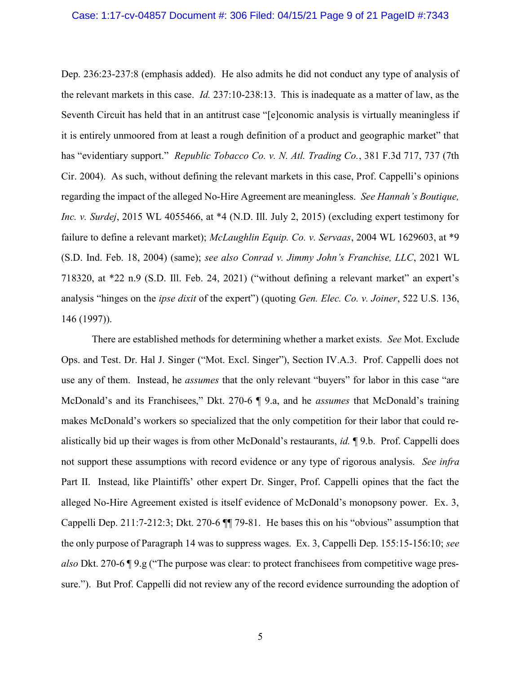#### Case: 1:17-cv-04857 Document #: 306 Filed: 04/15/21 Page 9 of 21 PageID #:7343

Dep. 236:23-237:8 (emphasis added). He also admits he did not conduct any type of analysis of the relevant markets in this case. Id. 237:10-238:13. This is inadequate as a matter of law, as the Seventh Circuit has held that in an antitrust case "[e]conomic analysis is virtually meaningless if it is entirely unmoored from at least a rough definition of a product and geographic market" that has "evidentiary support." Republic Tobacco Co. v. N. Atl. Trading Co., 381 F.3d 717, 737 (7th Cir. 2004). As such, without defining the relevant markets in this case, Prof. Cappelli's opinions regarding the impact of the alleged No-Hire Agreement are meaningless. See Hannah's Boutique, Inc. v. Surdej, 2015 WL 4055466, at \*4 (N.D. Ill. July 2, 2015) (excluding expert testimony for failure to define a relevant market); McLaughlin Equip. Co. v. Servaas, 2004 WL 1629603, at \*9 (S.D. Ind. Feb. 18, 2004) (same); see also Conrad v. Jimmy John's Franchise, LLC, 2021 WL 718320, at \*22 n.9 (S.D. Ill. Feb. 24, 2021) ("without defining a relevant market" an expert's analysis "hinges on the *ipse dixit* of the expert") (quoting *Gen. Elec. Co. v. Joiner*, 522 U.S. 136, 146 (1997)).

There are established methods for determining whether a market exists. See Mot. Exclude Ops. and Test. Dr. Hal J. Singer ("Mot. Excl. Singer"), Section IV.A.3. Prof. Cappelli does not use any of them. Instead, he *assumes* that the only relevant "buyers" for labor in this case "are McDonald's and its Franchisees," Dkt. 270-6 ¶ 9.a, and he *assumes* that McDonald's training makes McDonald's workers so specialized that the only competition for their labor that could realistically bid up their wages is from other McDonald's restaurants, id. ¶ 9.b. Prof. Cappelli does not support these assumptions with record evidence or any type of rigorous analysis. See infra Part II. Instead, like Plaintiffs' other expert Dr. Singer, Prof. Cappelli opines that the fact the alleged No-Hire Agreement existed is itself evidence of McDonald's monopsony power. Ex. 3, Cappelli Dep. 211:7-212:3; Dkt. 270-6 ¶¶ 79-81. He bases this on his "obvious" assumption that the only purpose of Paragraph 14 was to suppress wages. Ex. 3, Cappelli Dep. 155:15-156:10; see also Dkt. 270-6 ¶ 9.g ("The purpose was clear: to protect franchisees from competitive wage pressure."). But Prof. Cappelli did not review any of the record evidence surrounding the adoption of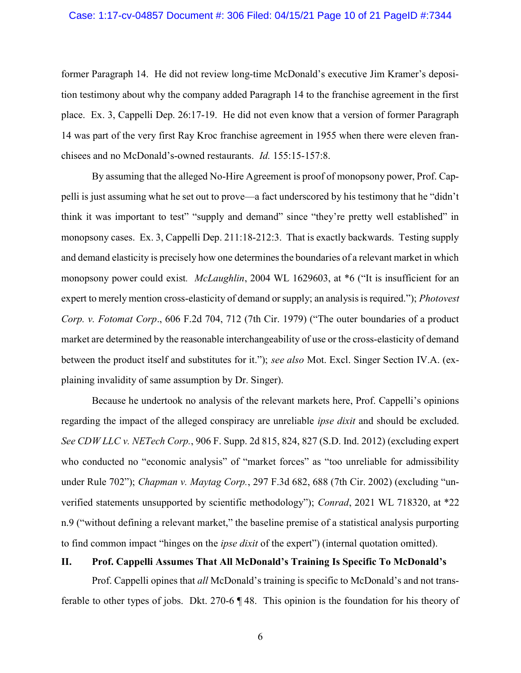## Case: 1:17-cv-04857 Document #: 306 Filed: 04/15/21 Page 10 of 21 PageID #:7344

former Paragraph 14. He did not review long-time McDonald's executive Jim Kramer's deposition testimony about why the company added Paragraph 14 to the franchise agreement in the first place. Ex. 3, Cappelli Dep. 26:17-19. He did not even know that a version of former Paragraph 14 was part of the very first Ray Kroc franchise agreement in 1955 when there were eleven franchisees and no McDonald's-owned restaurants. Id. 155:15-157:8.

By assuming that the alleged No-Hire Agreement is proof of monopsony power, Prof. Cappelli is just assuming what he set out to prove—a fact underscored by his testimony that he "didn't think it was important to test" "supply and demand" since "they're pretty well established" in monopsony cases. Ex. 3, Cappelli Dep. 211:18-212:3. That is exactly backwards. Testing supply and demand elasticity is precisely how one determines the boundaries of a relevant market in which monopsony power could exist. *McLaughlin*, 2004 WL 1629603, at \*6 ("It is insufficient for an expert to merely mention cross-elasticity of demand or supply; an analysis is required."); *Photovest* Corp. v. Fotomat Corp., 606 F.2d 704, 712 (7th Cir. 1979) ("The outer boundaries of a product market are determined by the reasonable interchangeability of use or the cross-elasticity of demand between the product itself and substitutes for it."); see also Mot. Excl. Singer Section IV.A. (explaining invalidity of same assumption by Dr. Singer).

Because he undertook no analysis of the relevant markets here, Prof. Cappelli's opinions regarding the impact of the alleged conspiracy are unreliable *ipse dixit* and should be excluded. See CDW LLC v. NETech Corp., 906 F. Supp. 2d 815, 824, 827 (S.D. Ind. 2012) (excluding expert who conducted no "economic analysis" of "market forces" as "too unreliable for admissibility under Rule 702"); *Chapman v. Maytag Corp.*, 297 F.3d 682, 688 (7th Cir. 2002) (excluding "unverified statements unsupported by scientific methodology"); Conrad, 2021 WL 718320, at \*22 n.9 ("without defining a relevant market," the baseline premise of a statistical analysis purporting to find common impact "hinges on the *ipse dixit* of the expert") (internal quotation omitted).

## II. Prof. Cappelli Assumes That All McDonald's Training Is Specific To McDonald's

Prof. Cappelli opines that all McDonald's training is specific to McDonald's and not transferable to other types of jobs. Dkt. 270-6 ¶ 48. This opinion is the foundation for his theory of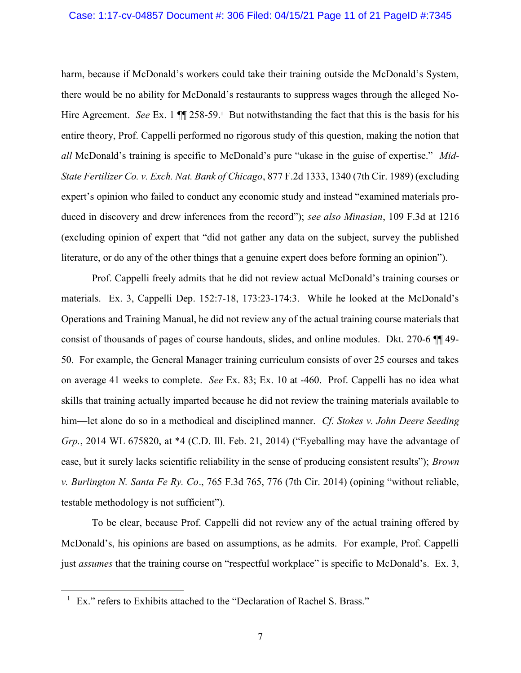## Case: 1:17-cv-04857 Document #: 306 Filed: 04/15/21 Page 11 of 21 PageID #:7345

harm, because if McDonald's workers could take their training outside the McDonald's System, there would be no ability for McDonald's restaurants to suppress wages through the alleged No-Hire Agreement. See Ex. 1  $\P$  258-59.<sup>1</sup> But notwithstanding the fact that this is the basis for his entire theory, Prof. Cappelli performed no rigorous study of this question, making the notion that all McDonald's training is specific to McDonald's pure "ukase in the guise of expertise." Mid-State Fertilizer Co. v. Exch. Nat. Bank of Chicago, 877 F.2d 1333, 1340 (7th Cir. 1989) (excluding expert's opinion who failed to conduct any economic study and instead "examined materials produced in discovery and drew inferences from the record"); see also Minasian, 109 F.3d at 1216 (excluding opinion of expert that "did not gather any data on the subject, survey the published literature, or do any of the other things that a genuine expert does before forming an opinion").

Prof. Cappelli freely admits that he did not review actual McDonald's training courses or materials. Ex. 3, Cappelli Dep. 152:7-18, 173:23-174:3. While he looked at the McDonald's Operations and Training Manual, he did not review any of the actual training course materials that consist of thousands of pages of course handouts, slides, and online modules. Dkt. 270-6 ¶¶ 49- 50. For example, the General Manager training curriculum consists of over 25 courses and takes on average 41 weeks to complete. See Ex. 83; Ex. 10 at -460. Prof. Cappelli has no idea what skills that training actually imparted because he did not review the training materials available to him—let alone do so in a methodical and disciplined manner. Cf. Stokes v. John Deere Seeding Grp., 2014 WL 675820, at \*4 (C.D. Ill. Feb. 21, 2014) ("Eyeballing may have the advantage of ease, but it surely lacks scientific reliability in the sense of producing consistent results"); Brown v. Burlington N. Santa Fe Ry. Co., 765 F.3d 765, 776 (7th Cir. 2014) (opining "without reliable, testable methodology is not sufficient").

To be clear, because Prof. Cappelli did not review any of the actual training offered by McDonald's, his opinions are based on assumptions, as he admits. For example, Prof. Cappelli just *assumes* that the training course on "respectful workplace" is specific to McDonald's. Ex. 3,

 $\overline{a}$ 

<sup>&</sup>lt;sup>1</sup> Ex." refers to Exhibits attached to the "Declaration of Rachel S. Brass."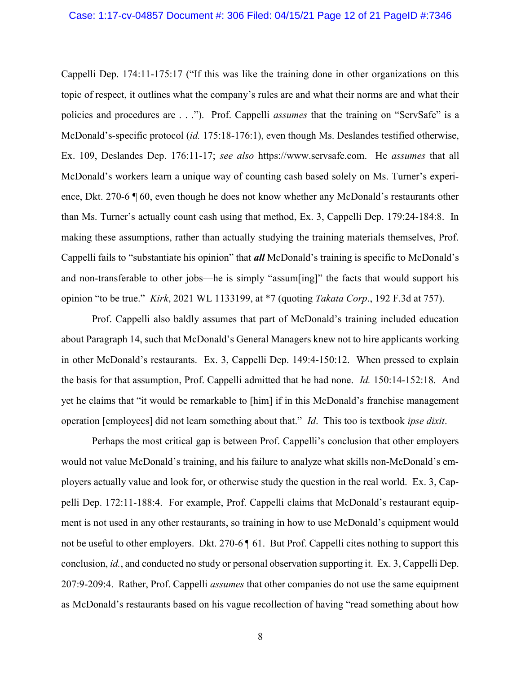Cappelli Dep. 174:11-175:17 ("If this was like the training done in other organizations on this topic of respect, it outlines what the company's rules are and what their norms are and what their policies and procedures are . . ."). Prof. Cappelli *assumes* that the training on "ServSafe" is a McDonald's-specific protocol (id. 175:18-176:1), even though Ms. Deslandes testified otherwise, Ex. 109, Deslandes Dep. 176:11-17; see also https://www.servsafe.com. He assumes that all McDonald's workers learn a unique way of counting cash based solely on Ms. Turner's experience, Dkt. 270-6 ¶ 60, even though he does not know whether any McDonald's restaurants other than Ms. Turner's actually count cash using that method, Ex. 3, Cappelli Dep. 179:24-184:8. In making these assumptions, rather than actually studying the training materials themselves, Prof. Cappelli fails to "substantiate his opinion" that **all** McDonald's training is specific to McDonald's and non-transferable to other jobs—he is simply "assum[ing]" the facts that would support his opinion "to be true." Kirk, 2021 WL 1133199, at \*7 (quoting Takata Corp., 192 F.3d at 757).

Prof. Cappelli also baldly assumes that part of McDonald's training included education about Paragraph 14, such that McDonald's General Managers knew not to hire applicants working in other McDonald's restaurants. Ex. 3, Cappelli Dep. 149:4-150:12. When pressed to explain the basis for that assumption, Prof. Cappelli admitted that he had none. Id. 150:14-152:18. And yet he claims that "it would be remarkable to [him] if in this McDonald's franchise management operation [employees] did not learn something about that." Id. This too is textbook ipse dixit.

Perhaps the most critical gap is between Prof. Cappelli's conclusion that other employers would not value McDonald's training, and his failure to analyze what skills non-McDonald's employers actually value and look for, or otherwise study the question in the real world. Ex. 3, Cappelli Dep. 172:11-188:4. For example, Prof. Cappelli claims that McDonald's restaurant equipment is not used in any other restaurants, so training in how to use McDonald's equipment would not be useful to other employers. Dkt. 270-6 [61. But Prof. Cappelli cites nothing to support this conclusion, id., and conducted no study or personal observation supporting it. Ex. 3, Cappelli Dep. 207:9-209:4. Rather, Prof. Cappelli assumes that other companies do not use the same equipment as McDonald's restaurants based on his vague recollection of having "read something about how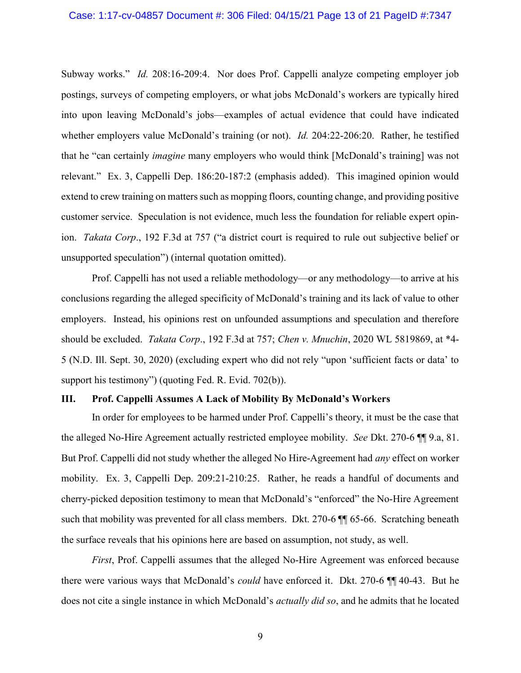## Case: 1:17-cv-04857 Document #: 306 Filed: 04/15/21 Page 13 of 21 PageID #:7347

Subway works." Id. 208:16-209:4. Nor does Prof. Cappelli analyze competing employer job postings, surveys of competing employers, or what jobs McDonald's workers are typically hired into upon leaving McDonald's jobs—examples of actual evidence that could have indicated whether employers value McDonald's training (or not). *Id.* 204:22-206:20. Rather, he testified that he "can certainly imagine many employers who would think [McDonald's training] was not relevant." Ex. 3, Cappelli Dep. 186:20-187:2 (emphasis added). This imagined opinion would extend to crew training on matters such as mopping floors, counting change, and providing positive customer service. Speculation is not evidence, much less the foundation for reliable expert opinion. Takata Corp., 192 F.3d at 757 ("a district court is required to rule out subjective belief or unsupported speculation") (internal quotation omitted).

Prof. Cappelli has not used a reliable methodology—or any methodology—to arrive at his conclusions regarding the alleged specificity of McDonald's training and its lack of value to other employers. Instead, his opinions rest on unfounded assumptions and speculation and therefore should be excluded. Takata Corp., 192 F.3d at 757; Chen v. Mnuchin, 2020 WL 5819869, at \*4- 5 (N.D. Ill. Sept. 30, 2020) (excluding expert who did not rely "upon 'sufficient facts or data' to support his testimony") (quoting Fed. R. Evid. 702(b)).

## III. Prof. Cappelli Assumes A Lack of Mobility By McDonald's Workers

In order for employees to be harmed under Prof. Cappelli's theory, it must be the case that the alleged No-Hire Agreement actually restricted employee mobility. See Dkt. 270-6 ¶¶ 9.a, 81. But Prof. Cappelli did not study whether the alleged No Hire-Agreement had *any* effect on worker mobility. Ex. 3, Cappelli Dep. 209:21-210:25. Rather, he reads a handful of documents and cherry-picked deposition testimony to mean that McDonald's "enforced" the No-Hire Agreement such that mobility was prevented for all class members. Dkt. 270-6  $\P\P$  65-66. Scratching beneath the surface reveals that his opinions here are based on assumption, not study, as well.

First, Prof. Cappelli assumes that the alleged No-Hire Agreement was enforced because there were various ways that McDonald's could have enforced it. Dkt. 270-6 ¶¶ 40-43. But he does not cite a single instance in which McDonald's *actually did so*, and he admits that he located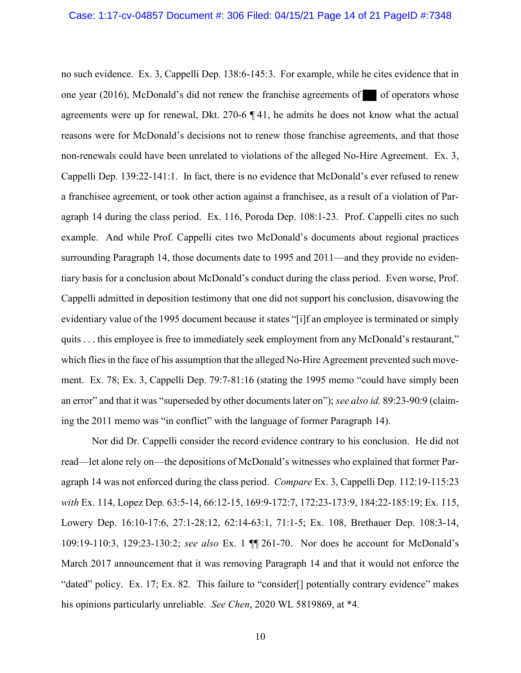no such evidence. Ex. 3, Cappelli Dep. 138:6-145:3. For example, while he cites evidence that in one year  $(2016)$ , McDonald's did not renew the franchise agreements of of operators whose agreements were up for renewal, Dkt. 270-6 ¶ 41, he admits he does not know what the actual reasons were for McDonald's decisions not to renew those franchise agreements, and that those non-renewals could have been unrelated to violations of the alleged No-Hire Agreement. Ex. 3, Cappelli Dep. 139:22-141:1. In fact, there is no evidence that McDonald's ever refused to renew a franchisee agreement, or took other action against a franchisee, as a result of a violation of Paragraph 14 during the class period. Ex. 116, Poroda Dep. 108:1-23. Prof. Cappelli cites no such example. And while Prof. Cappelli cites two McDonald's documents about regional practices surrounding Paragraph 14, those documents date to 1995 and 2011—and they provide no evidentiary basis for a conclusion about McDonald's conduct during the class period. Even worse, Prof. Cappelli admitted in deposition testimony that one did not support his conclusion, disavowing the evidentiary value of the 1995 document because it states "[i]f an employee is terminated or simply quits . . . this employee is free to immediately seek employment from any McDonald's restaurant," which flies in the face of his assumption that the alleged No-Hire Agreement prevented such movement. Ex. 78; Ex. 3, Cappelli Dep. 79:7-81:16 (stating the 1995 memo "could have simply been an error" and that it was "superseded by other documents later on"); see also id. 89:23-90:9 (claiming the 2011 memo was "in conflict" with the language of former Paragraph 14).

Nor did Dr. Cappelli consider the record evidence contrary to his conclusion. He did not read—let alone rely on—the depositions of McDonald's witnesses who explained that former Paragraph 14 was not enforced during the class period. Compare Ex. 3, Cappelli Dep. 112:19-115:23 with Ex. 114, Lopez Dep. 63:5-14, 66:12-15, 169:9-172:7, 172:23-173:9, 184:22-185:19; Ex. 115, Lowery Dep. 16:10-17:6, 27:1-28:12, 62:14-63:1, 71:1-5; Ex. 108, Brethauer Dep. 108:3-14, 109:19-110:3, 129:23-130:2; see also Ex. 1 ¶¶ 261-70. Nor does he account for McDonald's March 2017 announcement that it was removing Paragraph 14 and that it would not enforce the "dated" policy. Ex. 17; Ex. 82. This failure to "consider[] potentially contrary evidence" makes his opinions particularly unreliable. See Chen, 2020 WL 5819869, at \*4.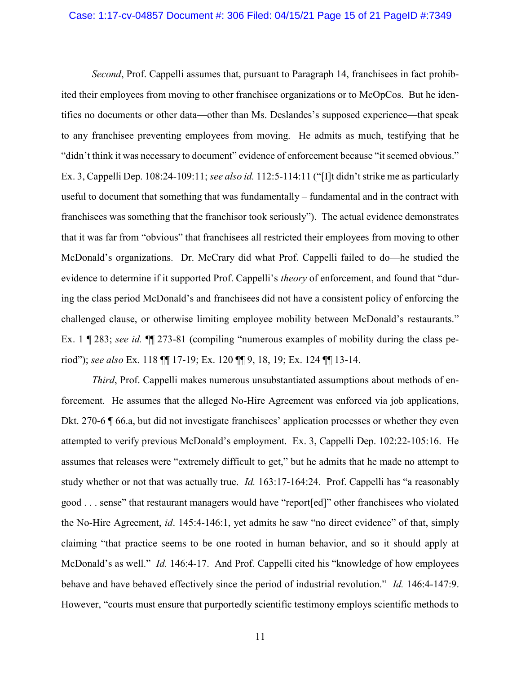## Case: 1:17-cv-04857 Document #: 306 Filed: 04/15/21 Page 15 of 21 PageID #:7349

Second, Prof. Cappelli assumes that, pursuant to Paragraph 14, franchisees in fact prohibited their employees from moving to other franchisee organizations or to McOpCos. But he identifies no documents or other data—other than Ms. Deslandes's supposed experience—that speak to any franchisee preventing employees from moving. He admits as much, testifying that he "didn't think it was necessary to document" evidence of enforcement because "it seemed obvious." Ex. 3, Cappelli Dep. 108:24-109:11; see also id. 112:5-114:11 ("[I]t didn't strike me as particularly useful to document that something that was fundamentally – fundamental and in the contract with franchisees was something that the franchisor took seriously"). The actual evidence demonstrates that it was far from "obvious" that franchisees all restricted their employees from moving to other McDonald's organizations. Dr. McCrary did what Prof. Cappelli failed to do—he studied the evidence to determine if it supported Prof. Cappelli's *theory* of enforcement, and found that "during the class period McDonald's and franchisees did not have a consistent policy of enforcing the challenged clause, or otherwise limiting employee mobility between McDonald's restaurants." Ex. 1 ¶ 283; see id.  $\P$ [273-81 (compiling "numerous examples of mobility during the class period"); see also Ex. 118 ¶¶ 17-19; Ex. 120 ¶¶ 9, 18, 19; Ex. 124 ¶¶ 13-14.

Third, Prof. Cappelli makes numerous unsubstantiated assumptions about methods of enforcement. He assumes that the alleged No-Hire Agreement was enforced via job applications, Dkt. 270-6 ¶ 66.a, but did not investigate franchisees' application processes or whether they even attempted to verify previous McDonald's employment. Ex. 3, Cappelli Dep. 102:22-105:16. He assumes that releases were "extremely difficult to get," but he admits that he made no attempt to study whether or not that was actually true. *Id.* 163:17-164:24. Prof. Cappelli has "a reasonably good . . . sense" that restaurant managers would have "report[ed]" other franchisees who violated the No-Hire Agreement, id. 145:4-146:1, yet admits he saw "no direct evidence" of that, simply claiming "that practice seems to be one rooted in human behavior, and so it should apply at McDonald's as well." *Id.* 146:4-17. And Prof. Cappelli cited his "knowledge of how employees behave and have behaved effectively since the period of industrial revolution." Id. 146:4-147:9. However, "courts must ensure that purportedly scientific testimony employs scientific methods to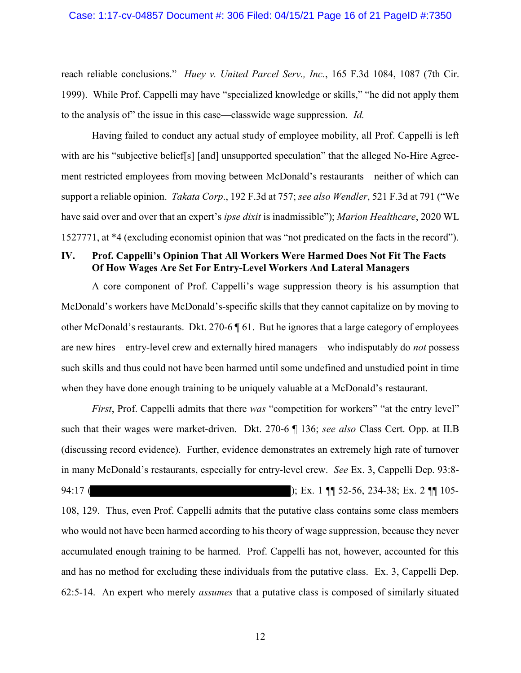## Case: 1:17-cv-04857 Document #: 306 Filed: 04/15/21 Page 16 of 21 PageID #:7350

reach reliable conclusions." Huey v. United Parcel Serv., Inc., 165 F.3d 1084, 1087 (7th Cir. 1999). While Prof. Cappelli may have "specialized knowledge or skills," "he did not apply them to the analysis of" the issue in this case—classwide wage suppression. Id.

Having failed to conduct any actual study of employee mobility, all Prof. Cappelli is left with are his "subjective belief[s] [and] unsupported speculation" that the alleged No-Hire Agreement restricted employees from moving between McDonald's restaurants—neither of which can support a reliable opinion. *Takata Corp.*, 192 F.3d at 757; see also Wendler, 521 F.3d at 791 ("We have said over and over that an expert's *ipse dixit* is inadmissible"); *Marion Healthcare*, 2020 WL 1527771, at \*4 (excluding economist opinion that was "not predicated on the facts in the record").

## IV. Prof. Cappelli's Opinion That All Workers Were Harmed Does Not Fit The Facts Of How Wages Are Set For Entry-Level Workers And Lateral Managers

A core component of Prof. Cappelli's wage suppression theory is his assumption that McDonald's workers have McDonald's-specific skills that they cannot capitalize on by moving to other McDonald's restaurants. Dkt. 270-6 ¶ 61. But he ignores that a large category of employees are new hires—entry-level crew and externally hired managers—who indisputably do not possess such skills and thus could not have been harmed until some undefined and unstudied point in time when they have done enough training to be uniquely valuable at a McDonald's restaurant.

First, Prof. Cappelli admits that there was "competition for workers" "at the entry level" such that their wages were market-driven. Dkt. 270-6 ¶ 136; see also Class Cert. Opp. at II.B (discussing record evidence). Further, evidence demonstrates an extremely high rate of turnover in many McDonald's restaurants, especially for entry-level crew. See Ex. 3, Cappelli Dep. 93:8- 94:17 ( ); Ex. 1 ¶ 52-56, 234-38; Ex. 2 ¶ 105-

108, 129. Thus, even Prof. Cappelli admits that the putative class contains some class members who would not have been harmed according to his theory of wage suppression, because they never accumulated enough training to be harmed. Prof. Cappelli has not, however, accounted for this and has no method for excluding these individuals from the putative class. Ex. 3, Cappelli Dep. 62:5-14. An expert who merely assumes that a putative class is composed of similarly situated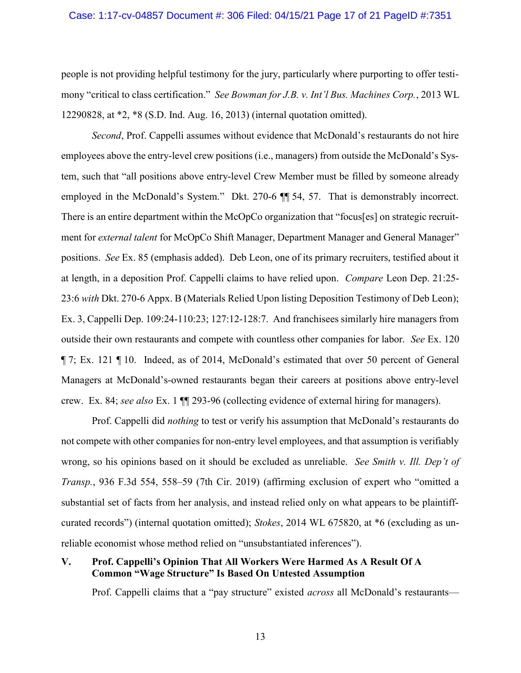## Case: 1:17-cv-04857 Document #: 306 Filed: 04/15/21 Page 17 of 21 PageID #:7351

people is not providing helpful testimony for the jury, particularly where purporting to offer testimony "critical to class certification." See Bowman for J.B. v. Int'l Bus. Machines Corp., 2013 WL 12290828, at \*2, \*8 (S.D. Ind. Aug. 16, 2013) (internal quotation omitted).

Second, Prof. Cappelli assumes without evidence that McDonald's restaurants do not hire employees above the entry-level crew positions (i.e., managers) from outside the McDonald's System, such that "all positions above entry-level Crew Member must be filled by someone already employed in the McDonald's System." Dkt. 270-6 ¶¶ 54, 57. That is demonstrably incorrect. There is an entire department within the McOpCo organization that "focus[es] on strategic recruitment for external talent for McOpCo Shift Manager, Department Manager and General Manager" positions. See Ex. 85 (emphasis added). Deb Leon, one of its primary recruiters, testified about it at length, in a deposition Prof. Cappelli claims to have relied upon. Compare Leon Dep. 21:25- 23:6 with Dkt. 270-6 Appx. B (Materials Relied Upon listing Deposition Testimony of Deb Leon); Ex. 3, Cappelli Dep. 109:24-110:23; 127:12-128:7. And franchisees similarly hire managers from outside their own restaurants and compete with countless other companies for labor. See Ex. 120 ¶ 7; Ex. 121 ¶ 10. Indeed, as of 2014, McDonald's estimated that over 50 percent of General Managers at McDonald's-owned restaurants began their careers at positions above entry-level crew. Ex. 84; see also Ex. 1 ¶¶ 293-96 (collecting evidence of external hiring for managers).

Prof. Cappelli did nothing to test or verify his assumption that McDonald's restaurants do not compete with other companies for non-entry level employees, and that assumption is verifiably wrong, so his opinions based on it should be excluded as unreliable. See Smith v. Ill. Dep't of Transp., 936 F.3d 554, 558–59 (7th Cir. 2019) (affirming exclusion of expert who "omitted a substantial set of facts from her analysis, and instead relied only on what appears to be plaintiffcurated records") (internal quotation omitted); Stokes, 2014 WL 675820, at \*6 (excluding as unreliable economist whose method relied on "unsubstantiated inferences").

## V. Prof. Cappelli's Opinion That All Workers Were Harmed As A Result Of A Common "Wage Structure" Is Based On Untested Assumption

Prof. Cappelli claims that a "pay structure" existed *across* all McDonald's restaurants—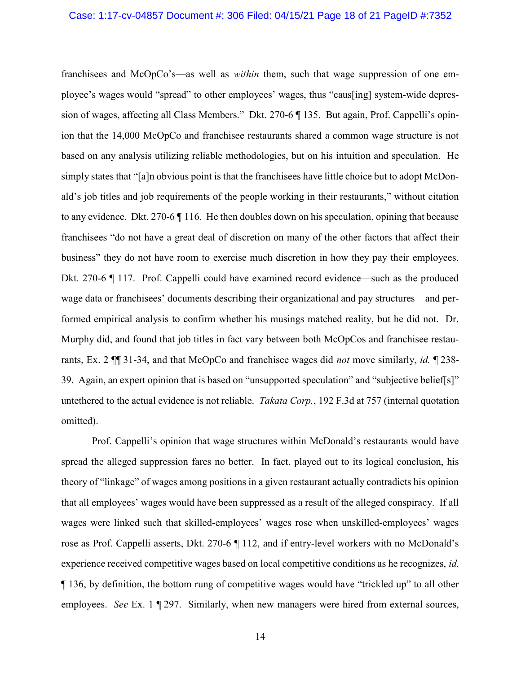franchisees and McOpCo's—as well as within them, such that wage suppression of one employee's wages would "spread" to other employees' wages, thus "caus[ing] system-wide depression of wages, affecting all Class Members." Dkt. 270-6 ¶ 135. But again, Prof. Cappelli's opinion that the 14,000 McOpCo and franchisee restaurants shared a common wage structure is not based on any analysis utilizing reliable methodologies, but on his intuition and speculation. He simply states that "[a]n obvious point is that the franchisees have little choice but to adopt McDonald's job titles and job requirements of the people working in their restaurants," without citation to any evidence. Dkt. 270-6 ¶ 116. He then doubles down on his speculation, opining that because franchisees "do not have a great deal of discretion on many of the other factors that affect their business" they do not have room to exercise much discretion in how they pay their employees. Dkt. 270-6 ¶ 117. Prof. Cappelli could have examined record evidence—such as the produced wage data or franchisees' documents describing their organizational and pay structures—and performed empirical analysis to confirm whether his musings matched reality, but he did not. Dr. Murphy did, and found that job titles in fact vary between both McOpCos and franchisee restaurants, Ex. 2  $\P$  31-34, and that McOpCo and franchisee wages did *not* move similarly, *id.*  $\P$  238-39. Again, an expert opinion that is based on "unsupported speculation" and "subjective belief[s]" untethered to the actual evidence is not reliable. *Takata Corp.*, 192 F.3d at 757 (internal quotation omitted).

Prof. Cappelli's opinion that wage structures within McDonald's restaurants would have spread the alleged suppression fares no better. In fact, played out to its logical conclusion, his theory of "linkage" of wages among positions in a given restaurant actually contradicts his opinion that all employees' wages would have been suppressed as a result of the alleged conspiracy. If all wages were linked such that skilled-employees' wages rose when unskilled-employees' wages rose as Prof. Cappelli asserts, Dkt. 270-6 ¶ 112, and if entry-level workers with no McDonald's experience received competitive wages based on local competitive conditions as he recognizes, id. ¶ 136, by definition, the bottom rung of competitive wages would have "trickled up" to all other employees. See Ex. 1 ¶ 297. Similarly, when new managers were hired from external sources,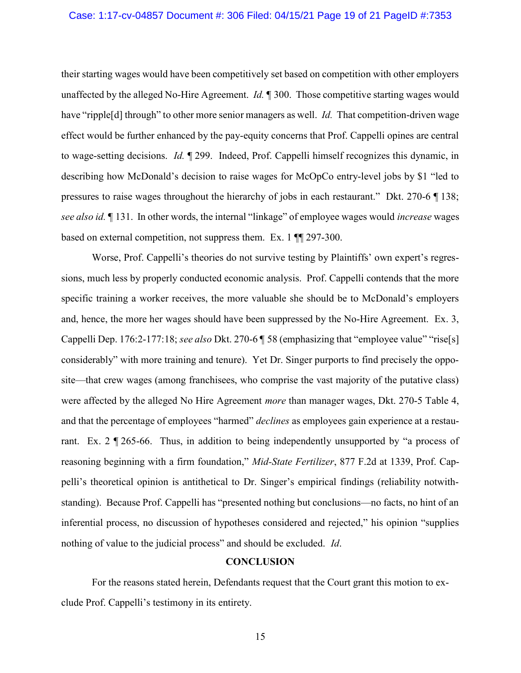## Case: 1:17-cv-04857 Document #: 306 Filed: 04/15/21 Page 19 of 21 PageID #:7353

their starting wages would have been competitively set based on competition with other employers unaffected by the alleged No-Hire Agreement. *Id.*  $\parallel$  300. Those competitive starting wages would have "ripple[d] through" to other more senior managers as well. *Id.* That competition-driven wage effect would be further enhanced by the pay-equity concerns that Prof. Cappelli opines are central to wage-setting decisions. Id. ¶ 299. Indeed, Prof. Cappelli himself recognizes this dynamic, in describing how McDonald's decision to raise wages for McOpCo entry-level jobs by \$1 "led to pressures to raise wages throughout the hierarchy of jobs in each restaurant." Dkt. 270-6 ¶ 138; see also id. 131. In other words, the internal "linkage" of employee wages would *increase* wages based on external competition, not suppress them. Ex. 1 ¶¶ 297-300.

Worse, Prof. Cappelli's theories do not survive testing by Plaintiffs' own expert's regressions, much less by properly conducted economic analysis. Prof. Cappelli contends that the more specific training a worker receives, the more valuable she should be to McDonald's employers and, hence, the more her wages should have been suppressed by the No-Hire Agreement. Ex. 3, Cappelli Dep. 176:2-177:18; see also Dkt. 270-6 | 58 (emphasizing that "employee value" "rise[s] considerably" with more training and tenure). Yet Dr. Singer purports to find precisely the opposite—that crew wages (among franchisees, who comprise the vast majority of the putative class) were affected by the alleged No Hire Agreement *more* than manager wages, Dkt. 270-5 Table 4, and that the percentage of employees "harmed" *declines* as employees gain experience at a restaurant. Ex. 2 ¶ 265-66. Thus, in addition to being independently unsupported by "a process of reasoning beginning with a firm foundation," Mid-State Fertilizer, 877 F.2d at 1339, Prof. Cappelli's theoretical opinion is antithetical to Dr. Singer's empirical findings (reliability notwithstanding). Because Prof. Cappelli has "presented nothing but conclusions—no facts, no hint of an inferential process, no discussion of hypotheses considered and rejected," his opinion "supplies nothing of value to the judicial process" and should be excluded. *Id*.

## **CONCLUSION**

For the reasons stated herein, Defendants request that the Court grant this motion to exclude Prof. Cappelli's testimony in its entirety.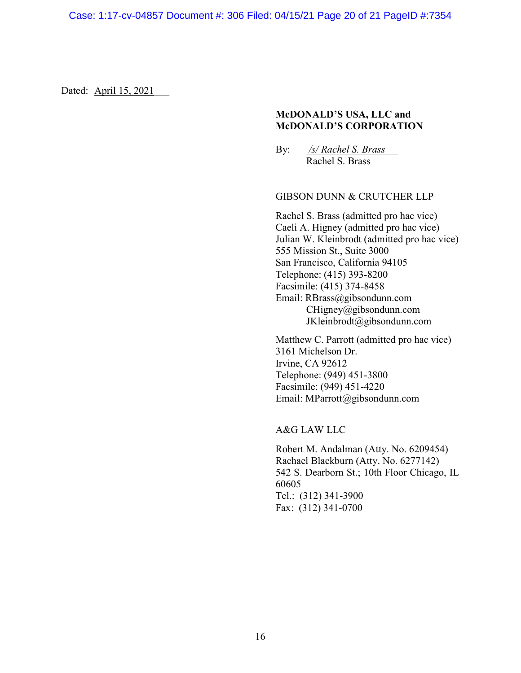Dated: April 15, 2021

## McDONALD'S USA, LLC and McDONALD'S CORPORATION

By: /s/ Rachel S. Brass Rachel S. Brass

## GIBSON DUNN & CRUTCHER LLP

Rachel S. Brass (admitted pro hac vice) Caeli A. Higney (admitted pro hac vice) Julian W. Kleinbrodt (admitted pro hac vice) 555 Mission St., Suite 3000 San Francisco, California 94105 Telephone: (415) 393-8200 Facsimile: (415) 374-8458 Email: RBrass@gibsondunn.com CHigney@gibsondunn.com JKleinbrodt@gibsondunn.com

Matthew C. Parrott (admitted pro hac vice) 3161 Michelson Dr. Irvine, CA 92612 Telephone: (949) 451-3800 Facsimile: (949) 451-4220 Email: MParrott@gibsondunn.com

A&G LAW LLC

Robert M. Andalman (Atty. No. 6209454) Rachael Blackburn (Atty. No. 6277142) 542 S. Dearborn St.; 10th Floor Chicago, IL 60605 Tel.: (312) 341-3900 Fax: (312) 341-0700